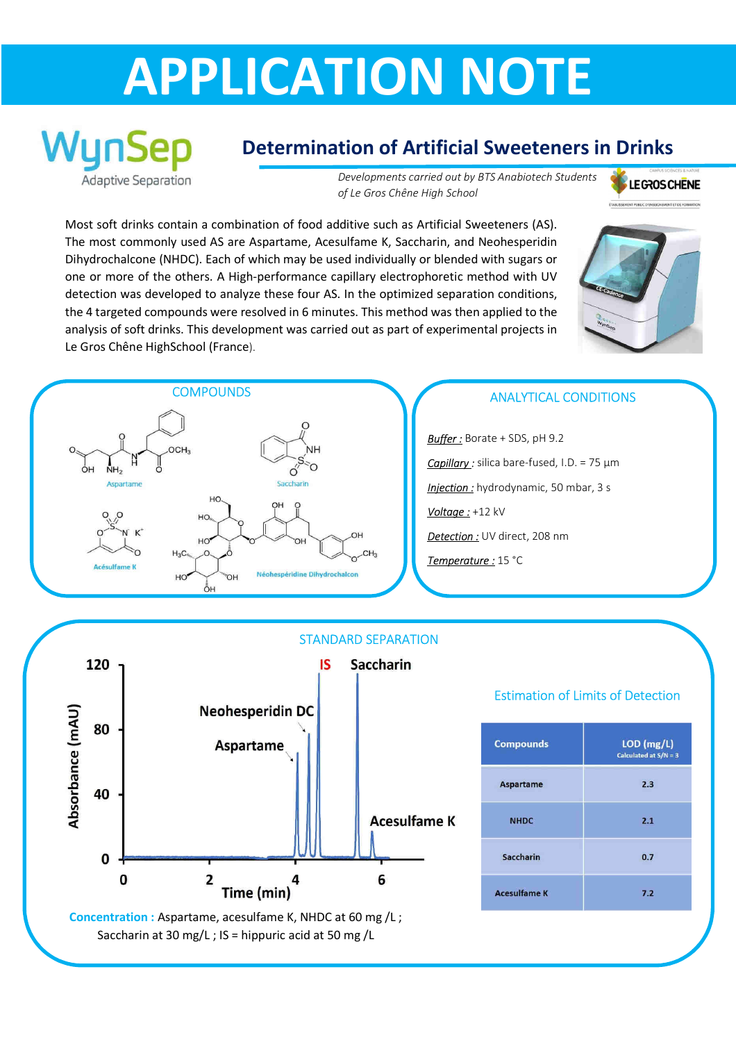## **APPLICATION NOTE**



## **Determination of Artificial Sweeteners in Drinks**

*Developments carried out by BTS Anabiotech Students of Le Gros Chêne High School* 

**LEGROS CHENE** 

Most soft drinks contain a combination of food additive such as Artificial Sweeteners (AS). The most commonly used AS are Aspartame, Acesulfame K, Saccharin, and Neohesperidin Dihydrochalcone (NHDC). Each of which may be used individually or blended with sugars or one or more of the others. A High-performance capillary electrophoretic method with UV detection was developed to analyze these four AS. In the optimized separation conditions, the 4 targeted compounds were resolved in 6 minutes. This method was then applied to the analysis of soft drinks. This development was carried out as part of experimental projects in Le Gros Chêne HighSchool (France).





*Buffer :* Borate + SDS, pH 9.2 *Capillary :* silica bare-fused, I.D. = 75 µm *Injection :* hydrodynamic, 50 mbar, 3 s *Voltage :* +12 kV *Detection :* UV direct, 208 nm *Temperature :* 15 °C



## Estimation of Limits of Detection

| <b>Compounds</b>    | $LOD$ (mg/L)<br>Calculated at $S/N = 3$ |
|---------------------|-----------------------------------------|
| <b>Aspartame</b>    | 2.3                                     |
| <b>NHDC</b>         | 2.1                                     |
| Saccharin           | 0.7                                     |
| <b>Acesulfame K</b> | 7.2                                     |

Saccharin at 30 mg/L ; IS = hippuric acid at 50 mg /L